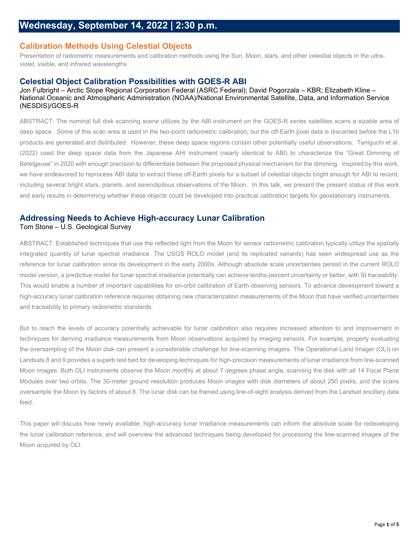# **Calibration Methods Using Celestial Objects**

Presentation of radiometric measurements and calibration methods using the Sun, Moon, stars, and other celestial objects in the ultraviolet, visible, and infrared wavelengths

## **Celestial Object Calibration Possibilities with GOES-R ABI**

### Jon Fulbright – Arctic Slope Regional Corporation Federal (ASRC Federal); David Pogorzala – KBR; Elizabeth Kline – National Oceanic and Atmospheric Administration (NOAA)/National Environmental Satellite, Data, and Information Service (NESDIS)/GOES-R

ABSTRACT: The nominal full disk scanning scene utilizes by the ABI instrument on the GOES-R series satellites scans a sizable area of deep space. Some of this scan area is used in the two-point radiometric calibration, but the off-Earth pixel data is discarded before the L1b products are generated and distributed. However, these deep space regions contain other potentially useful observations. Taniguchi et al. (2022) used the deep space data from the Japanese AHI instrument (nearly identical to ABI) to characterize the "Great Dimming of Betelgeuse" in 2020 with enough precision to differentiate between the proposed physical mechanism for the dimming. Inspired by this work, we have endeavored to reprocess ABI data to extract these off-Earth pixels for a subset of celestial objects bright enough for ABI to record, including several bright stars, planets, and serendipitous observations of the Moon. In this talk, we present the present status of this work and early results in determining whether these objects could be developed into practical calibration targets for geostationary instruments.

### **Addressing Needs to Achieve High-accuracy Lunar Calibration** Tom Stone – U.S. Geological Survey

ABSTRACT: Established techniques that use the reflected light from the Moon for sensor radiometric calibration typically utilize the spatially integrated quantity of lunar spectral irradiance. The USGS ROLO model (and its replicated variants) has seen widespread use as the reference for lunar calibration since its development in the early 2000s. Although absolute scale uncertainties persist in the current ROLO model version, a predictive model for lunar spectral irradiance potentially can achieve tenths-percent uncertainty or better, with SI traceability. This would enable a number of important capabilities for on-orbit calibration of Earth observing sensors. To advance development toward a high-accuracy lunar calibration reference requires obtaining new characterization measurements of the Moon that have verified uncertainties and traceability to primary radiometric standards.

But to reach the levels of accuracy potentially achievable for lunar calibration also requires increased attention to and improvement in techniques for deriving irradiance measurements from Moon observations acquired by imaging sensors. For example, properly evaluating the oversampling of the Moon disk can present a considerable challenge for line-scanning imagers. The Operational Land Imager (OLI) on Landsats 8 and 9 provides a superb test bed for developing techniques for high-precision measurements of lunar irradiance from line-scanned Moon images. Both OLI instruments observe the Moon monthly at about 7 degrees phase angle, scanning the disk with all 14 Focal Plane Modules over two orbits. The 30-meter ground resolution produces Moon images with disk diameters of about 250 pixels, and the scans oversample the Moon by factors of about 8. The lunar disk can be framed using line-of-sight analysis derived from the Landsat ancillary data feed.

This paper will discuss how newly available, high-accuracy lunar irradiance measurements can inform the absolute scale for redeveloping the lunar calibration reference, and will overview the advanced techniques being developed for processing the line-scanned images of the Moon acquired by OLI.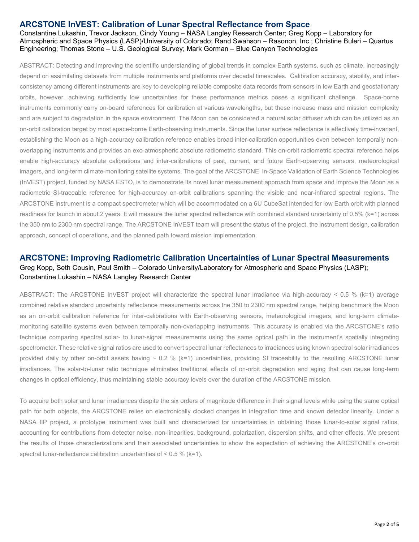## **ARCSTONE InVEST: Calibration of Lunar Spectral Reflectance from Space**

Constantine Lukashin, Trevor Jackson, Cindy Young – NASA Langley Research Center; Greg Kopp – Laboratory for Atmospheric and Space Physics (LASP)/University of Colorado; Rand Swanson – Rasonon, Inc.; Christine Buleri – Quartus Engineering; Thomas Stone – U.S. Geological Survey; Mark Gorman – Blue Canyon Technologies

ABSTRACT: Detecting and improving the scientific understanding of global trends in complex Earth systems, such as climate, increasingly depend on assimilating datasets from multiple instruments and platforms over decadal timescales. Calibration accuracy, stability, and interconsistency among different instruments are key to developing reliable composite data records from sensors in low Earth and geostationary orbits, however, achieving sufficiently low uncertainties for these performance metrics poses a significant challenge. Space-borne instruments commonly carry on-board references for calibration at various wavelengths, but these increase mass and mission complexity and are subject to degradation in the space environment. The Moon can be considered a natural solar diffuser which can be utilized as an on-orbit calibration target by most space-borne Earth-observing instruments. Since the lunar surface reflectance is effectively time-invariant, establishing the Moon as a high-accuracy calibration reference enables broad inter-calibration opportunities even between temporally nonoverlapping instruments and provides an exo-atmospheric absolute radiometric standard. This on-orbit radiometric spectral reference helps enable high-accuracy absolute calibrations and inter-calibrations of past, current, and future Earth-observing sensors, meteorological imagers, and long-term climate-monitoring satellite systems. The goal of the ARCSTONE In-Space Validation of Earth Science Technologies (InVEST) project, funded by NASA ESTO, is to demonstrate its novel lunar measurement approach from space and improve the Moon as a radiometric SI-traceable reference for high-accuracy on-orbit calibrations spanning the visible and near-infrared spectral regions. The ARCSTONE instrument is a compact spectrometer which will be accommodated on a 6U CubeSat intended for low Earth orbit with planned readiness for launch in about 2 years. It will measure the lunar spectral reflectance with combined standard uncertainty of 0.5% (k=1) across the 350 nm to 2300 nm spectral range. The ARCSTONE InVEST team will present the status of the project, the instrument design, calibration approach, concept of operations, and the planned path toward mission implementation.

## **ARCSTONE: Improving Radiometric Calibration Uncertainties of Lunar Spectral Measurements** Greg Kopp, Seth Cousin, Paul Smith – Colorado University/Laboratory for Atmospheric and Space Physics (LASP); Constantine Lukashin – NASA Langley Research Center

ABSTRACT: The ARCSTONE InVEST project will characterize the spectral lunar irradiance via high-accuracy < 0.5 % (k=1) average combined relative standard uncertainty reflectance measurements across the 350 to 2300 nm spectral range, helping benchmark the Moon as an on-orbit calibration reference for inter-calibrations with Earth-observing sensors, meteorological imagers, and long-term climatemonitoring satellite systems even between temporally non-overlapping instruments. This accuracy is enabled via the ARCSTONE's ratio technique comparing spectral solar- to lunar-signal measurements using the same optical path in the instrument's spatially integrating spectrometer. These relative signal ratios are used to convert spectral lunar reflectances to irradiances using known spectral solar irradiances provided daily by other on-orbit assets having  $\sim 0.2$  % (k=1) uncertainties, providing SI traceability to the resulting ARCSTONE lunar irradiances. The solar-to-lunar ratio technique eliminates traditional effects of on-orbit degradation and aging that can cause long-term changes in optical efficiency, thus maintaining stable accuracy levels over the duration of the ARCSTONE mission.

To acquire both solar and lunar irradiances despite the six orders of magnitude difference in their signal levels while using the same optical path for both objects, the ARCSTONE relies on electronically clocked changes in integration time and known detector linearity. Under a NASA IIP project, a prototype instrument was built and characterized for uncertainties in obtaining those lunar-to-solar signal ratios, accounting for contributions from detector noise, non-linearities, background, polarization, dispersion shifts, and other effects. We present the results of those characterizations and their associated uncertainties to show the expectation of achieving the ARCSTONE's on-orbit spectral lunar-reflectance calibration uncertainties of < 0.5 % (k=1).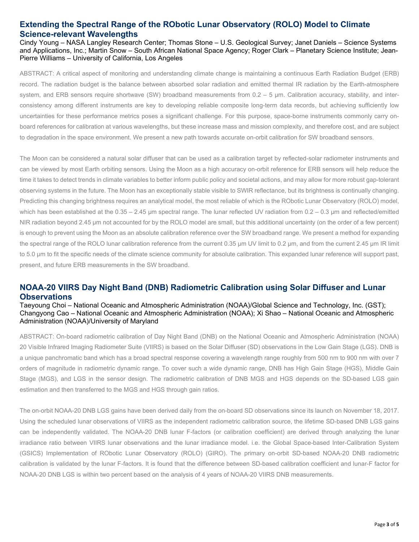# **Extending the Spectral Range of the RObotic Lunar Observatory (ROLO) Model to Climate Science-relevant Wavelengths**

Cindy Young – NASA Langley Research Center; Thomas Stone – U.S. Geological Survey; Janet Daniels – Science Systems and Applications, Inc.; Martin Snow – South African National Space Agency; Roger Clark – Planetary Science Institute; Jean-Pierre Williams – University of California, Los Angeles

ABSTRACT: A critical aspect of monitoring and understanding climate change is maintaining a continuous Earth Radiation Budget (ERB) record. The radiation budget is the balance between absorbed solar radiation and emitted thermal IR radiation by the Earth-atmosphere system, and ERB sensors require shortwave (SW) broadband measurements from 0.2 – 5 µm. Calibration accuracy, stability, and interconsistency among different instruments are key to developing reliable composite long-term data records, but achieving sufficiently low uncertainties for these performance metrics poses a significant challenge. For this purpose, space-borne instruments commonly carry onboard references for calibration at various wavelengths, but these increase mass and mission complexity, and therefore cost, and are subject to degradation in the space environment. We present a new path towards accurate on-orbit calibration for SW broadband sensors.

The Moon can be considered a natural solar diffuser that can be used as a calibration target by reflected-solar radiometer instruments and can be viewed by most Earth orbiting sensors. Using the Moon as a high accuracy on-orbit reference for ERB sensors will help reduce the time it takes to detect trends in climate variables to better inform public policy and societal actions, and may allow for more robust gap-tolerant observing systems in the future. The Moon has an exceptionally stable visible to SWIR reflectance, but its brightness is continually changing. Predicting this changing brightness requires an analytical model, the most reliable of which is the RObotic Lunar Observatory (ROLO) model, which has been established at the  $0.35 - 2.45$  µm spectral range. The lunar reflected UV radiation from  $0.2 - 0.3$  µm and reflected/emitted NIR radiation beyond 2.45 μm not accounted for by the ROLO model are small, but this additional uncertainty (on the order of a few percent) is enough to prevent using the Moon as an absolute calibration reference over the SW broadband range. We present a method for expanding the spectral range of the ROLO lunar calibration reference from the current 0.35 µm UV limit to 0.2 µm, and from the current 2.45 µm IR limit to 5.0 µm to fit the specific needs of the climate science community for absolute calibration. This expanded lunar reference will support past, present, and future ERB measurements in the SW broadband.

# **NOAA-20 VIIRS Day Night Band (DNB) Radiometric Calibration using Solar Diffuser and Lunar Observations**

Taeyoung Choi – National Oceanic and Atmospheric Administration (NOAA)/Global Science and Technology, Inc. (GST); Changyong Cao – National Oceanic and Atmospheric Administration (NOAA); Xi Shao – National Oceanic and Atmospheric Administration (NOAA)/University of Maryland

ABSTRACT: On-board radiometric calibration of Day Night Band (DNB) on the National Oceanic and Atmospheric Administration (NOAA) 20 Visible Infrared Imaging Radiometer Suite (VIIRS) is based on the Solar Diffuser (SD) observations in the Low Gain Stage (LGS). DNB is a unique panchromatic band which has a broad spectral response covering a wavelength range roughly from 500 nm to 900 nm with over 7 orders of magnitude in radiometric dynamic range. To cover such a wide dynamic range, DNB has High Gain Stage (HGS), Middle Gain Stage (MGS), and LGS in the sensor design. The radiometric calibration of DNB MGS and HGS depends on the SD-based LGS gain estimation and then transferred to the MGS and HGS through gain ratios.

The on-orbit NOAA-20 DNB LGS gains have been derived daily from the on-board SD observations since its launch on November 18, 2017. Using the scheduled lunar observations of VIIRS as the independent radiometric calibration source, the lifetime SD-based DNB LGS gains can be independently validated. The NOAA-20 DNB lunar F-factors (or calibration coefficient) are derived through analyzing the lunar irradiance ratio between VIIRS lunar observations and the lunar irradiance model. i.e. the Global Space-based Inter-Calibration System (GSICS) Implementation of RObotic Lunar Observatory (ROLO) (GIRO). The primary on-orbit SD-based NOAA-20 DNB radiometric calibration is validated by the lunar F-factors. It is found that the difference between SD-based calibration coefficient and lunar-F factor for NOAA-20 DNB LGS is within two percent based on the analysis of 4 years of NOAA-20 VIIRS DNB measurements.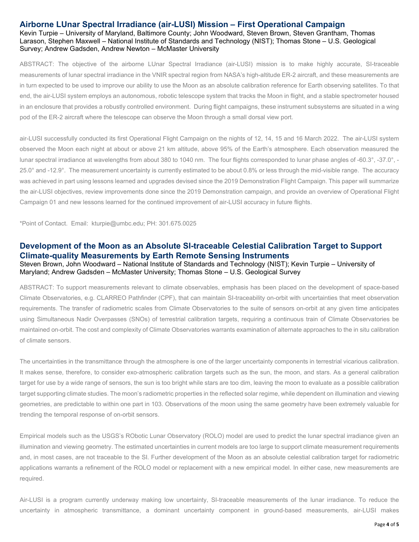### **Airborne LUnar Spectral Irradiance (air-LUSI) Mission – First Operational Campaign**

Kevin Turpie – University of Maryland, Baltimore County; John Woodward, Steven Brown, Steven Grantham, Thomas Larason, Stephen Maxwell – National Institute of Standards and Technology (NIST); Thomas Stone – U.S. Geological Survey; Andrew Gadsden, Andrew Newton – McMaster University

ABSTRACT: The objective of the airborne LUnar Spectral Irradiance (air-LUSI) mission is to make highly accurate, SI-traceable measurements of lunar spectral irradiance in the VNIR spectral region from NASA's high-altitude ER-2 aircraft, and these measurements are in turn expected to be used to improve our ability to use the Moon as an absolute calibration reference for Earth observing satellites. To that end, the air-LUSI system employs an autonomous, robotic telescope system that tracks the Moon in flight, and a stable spectrometer housed in an enclosure that provides a robustly controlled environment. During flight campaigns, these instrument subsystems are situated in a wing pod of the ER-2 aircraft where the telescope can observe the Moon through a small dorsal view port.

air-LUSI successfully conducted its first Operational Flight Campaign on the nights of 12, 14, 15 and 16 March 2022. The air-LUSI system observed the Moon each night at about or above 21 km altitude, above 95% of the Earth's atmosphere. Each observation measured the lunar spectral irradiance at wavelengths from about 380 to 1040 nm. The four flights corresponded to lunar phase angles of -60.3°, -37.0°, - 25.0° and -12.9°. The measurement uncertainty is currently estimated to be about 0.8% or less through the mid-visible range. The accuracy was achieved in part using lessons learned and upgrades devised since the 2019 Demonstration Flight Campaign. This paper will summarize the air-LUSI objectives, review improvements done since the 2019 Demonstration campaign, and provide an overview of Operational Flight Campaign 01 and new lessons learned for the continued improvement of air-LUSI accuracy in future flights.

\*Point of Contact. Email: kturpie@umbc.edu; PH: 301.675.0025

## **Development of the Moon as an Absolute SI-traceable Celestial Calibration Target to Support Climate-quality Measurements by Earth Remote Sensing Instruments**

### Steven Brown, John Woodward – National Institute of Standards and Technology (NIST); Kevin Turpie – University of Maryland; Andrew Gadsden – McMaster University; Thomas Stone – U.S. Geological Survey

ABSTRACT: To support measurements relevant to climate observables, emphasis has been placed on the development of space-based Climate Observatories, e.g. CLARREO Pathfinder (CPF), that can maintain SI-traceability on-orbit with uncertainties that meet observation requirements. The transfer of radiometric scales from Climate Observatories to the suite of sensors on-orbit at any given time anticipates using Simultaneous Nadir Overpasses (SNOs) of terrestrial calibration targets, requiring a continuous train of Climate Observatories be maintained on-orbit. The cost and complexity of Climate Observatories warrants examination of alternate approaches to the in situ calibration of climate sensors.

The uncertainties in the transmittance through the atmosphere is one of the larger uncertainty components in terrestrial vicarious calibration. It makes sense, therefore, to consider exo-atmospheric calibration targets such as the sun, the moon, and stars. As a general calibration target for use by a wide range of sensors, the sun is too bright while stars are too dim, leaving the moon to evaluate as a possible calibration target supporting climate studies. The moon's radiometric properties in the reflected solar regime, while dependent on illumination and viewing geometries, are predictable to within one part in 103. Observations of the moon using the same geometry have been extremely valuable for trending the temporal response of on-orbit sensors.

Empirical models such as the USGS's RObotic Lunar Observatory (ROLO) model are used to predict the lunar spectral irradiance given an illumination and viewing geometry. The estimated uncertainties in current models are too large to support climate measurement requirements and, in most cases, are not traceable to the SI. Further development of the Moon as an absolute celestial calibration target for radiometric applications warrants a refinement of the ROLO model or replacement with a new empirical model. In either case, new measurements are required.

Air-LUSI is a program currently underway making low uncertainty, SI-traceable measurements of the lunar irradiance. To reduce the uncertainty in atmospheric transmittance, a dominant uncertainty component in ground-based measurements, air-LUSI makes